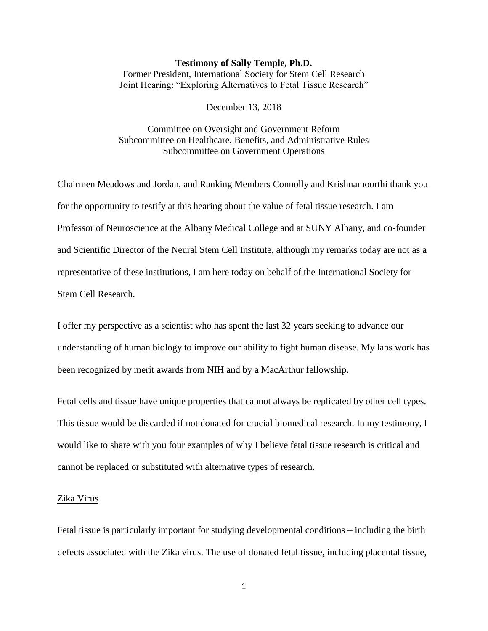#### **Testimony of Sally Temple, Ph.D.**

Former President, International Society for Stem Cell Research Joint Hearing: "Exploring Alternatives to Fetal Tissue Research"

December 13, 2018

Committee on Oversight and Government Reform Subcommittee on Healthcare, Benefits, and Administrative Rules Subcommittee on Government Operations

Chairmen Meadows and Jordan, and Ranking Members Connolly and Krishnamoorthi thank you for the opportunity to testify at this hearing about the value of fetal tissue research. I am Professor of Neuroscience at the Albany Medical College and at SUNY Albany, and co-founder and Scientific Director of the Neural Stem Cell Institute, although my remarks today are not as a representative of these institutions, I am here today on behalf of the International Society for Stem Cell Research.

I offer my perspective as a scientist who has spent the last 32 years seeking to advance our understanding of human biology to improve our ability to fight human disease. My labs work has been recognized by merit awards from NIH and by a MacArthur fellowship.

Fetal cells and tissue have unique properties that cannot always be replicated by other cell types. This tissue would be discarded if not donated for crucial biomedical research. In my testimony, I would like to share with you four examples of why I believe fetal tissue research is critical and cannot be replaced or substituted with alternative types of research.

## Zika Virus

Fetal tissue is particularly important for studying developmental conditions – including the birth defects associated with the Zika virus. The use of donated fetal tissue, including placental tissue,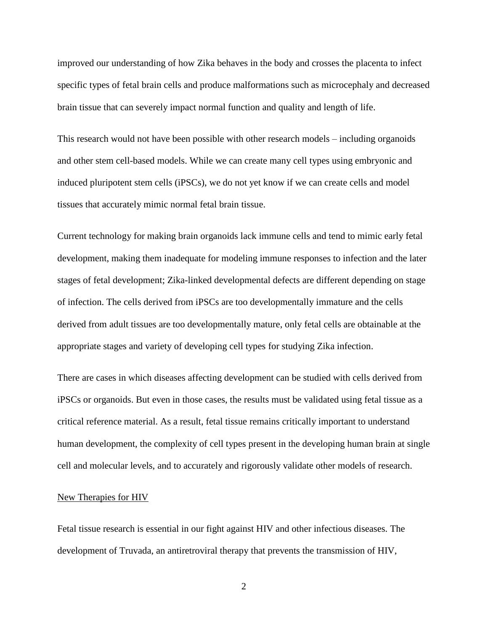improved our understanding of how Zika behaves in the body and crosses the placenta to infect specific types of fetal brain cells and produce malformations such as microcephaly and decreased brain tissue that can severely impact normal function and quality and length of life.

This research would not have been possible with other research models – including organoids and other stem cell-based models. While we can create many cell types using embryonic and induced pluripotent stem cells (iPSCs), we do not yet know if we can create cells and model tissues that accurately mimic normal fetal brain tissue.

Current technology for making brain organoids lack immune cells and tend to mimic early fetal development, making them inadequate for modeling immune responses to infection and the later stages of fetal development; Zika-linked developmental defects are different depending on stage of infection. The cells derived from iPSCs are too developmentally immature and the cells derived from adult tissues are too developmentally mature, only fetal cells are obtainable at the appropriate stages and variety of developing cell types for studying Zika infection.

There are cases in which diseases affecting development can be studied with cells derived from iPSCs or organoids. But even in those cases, the results must be validated using fetal tissue as a critical reference material. As a result, fetal tissue remains critically important to understand human development, the complexity of cell types present in the developing human brain at single cell and molecular levels, and to accurately and rigorously validate other models of research.

#### New Therapies for HIV

Fetal tissue research is essential in our fight against HIV and other infectious diseases. The development of Truvada, an antiretroviral therapy that prevents the transmission of HIV,

2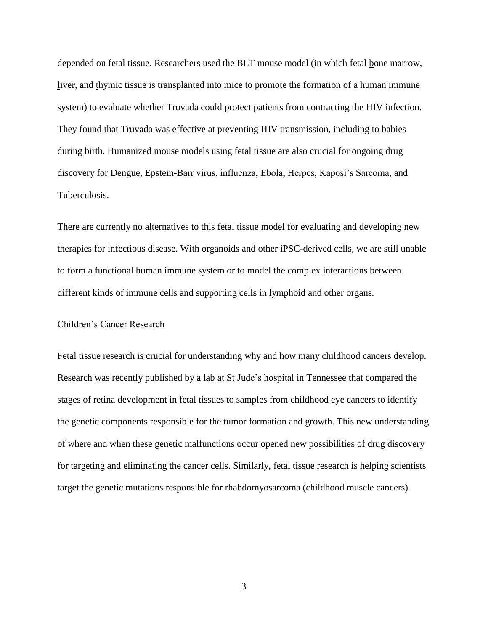depended on fetal tissue. Researchers used the BLT mouse model (in which fetal bone marrow, liver, and thymic tissue is transplanted into mice to promote the formation of a human immune system) to evaluate whether Truvada could protect patients from contracting the HIV infection. They found that Truvada was effective at preventing HIV transmission, including to babies during birth. Humanized mouse models using fetal tissue are also crucial for ongoing drug discovery for Dengue, Epstein-Barr virus, influenza, Ebola, Herpes, Kaposi's Sarcoma, and Tuberculosis.

There are currently no alternatives to this fetal tissue model for evaluating and developing new therapies for infectious disease. With organoids and other iPSC-derived cells, we are still unable to form a functional human immune system or to model the complex interactions between different kinds of immune cells and supporting cells in lymphoid and other organs.

### Children's Cancer Research

Fetal tissue research is crucial for understanding why and how many childhood cancers develop. Research was recently published by a lab at St Jude's hospital in Tennessee that compared the stages of retina development in fetal tissues to samples from childhood eye cancers to identify the genetic components responsible for the tumor formation and growth. This new understanding of where and when these genetic malfunctions occur opened new possibilities of drug discovery for targeting and eliminating the cancer cells. Similarly, fetal tissue research is helping scientists target the genetic mutations responsible for rhabdomyosarcoma (childhood muscle cancers).

3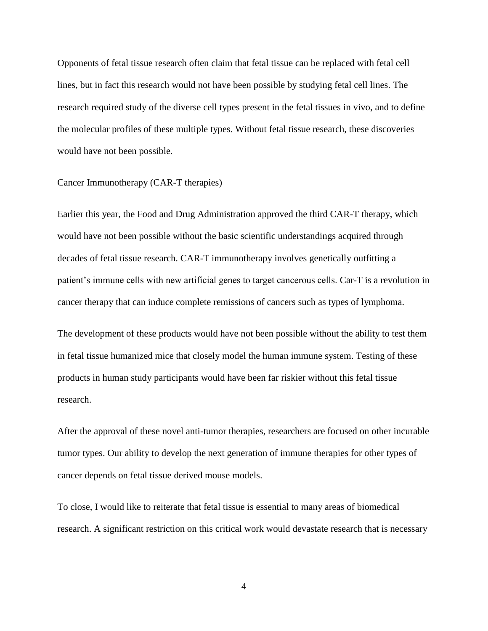Opponents of fetal tissue research often claim that fetal tissue can be replaced with fetal cell lines, but in fact this research would not have been possible by studying fetal cell lines. The research required study of the diverse cell types present in the fetal tissues in vivo, and to define the molecular profiles of these multiple types. Without fetal tissue research, these discoveries would have not been possible.

# Cancer Immunotherapy (CAR-T therapies)

Earlier this year, the Food and Drug Administration approved the third CAR-T therapy, which would have not been possible without the basic scientific understandings acquired through decades of fetal tissue research. CAR-T immunotherapy involves genetically outfitting a patient's immune cells with new artificial genes to target cancerous cells. Car-T is a revolution in cancer therapy that can induce complete remissions of cancers such as types of lymphoma.

The development of these products would have not been possible without the ability to test them in fetal tissue humanized mice that closely model the human immune system. Testing of these products in human study participants would have been far riskier without this fetal tissue research.

After the approval of these novel anti-tumor therapies, researchers are focused on other incurable tumor types. Our ability to develop the next generation of immune therapies for other types of cancer depends on fetal tissue derived mouse models.

To close, I would like to reiterate that fetal tissue is essential to many areas of biomedical research. A significant restriction on this critical work would devastate research that is necessary